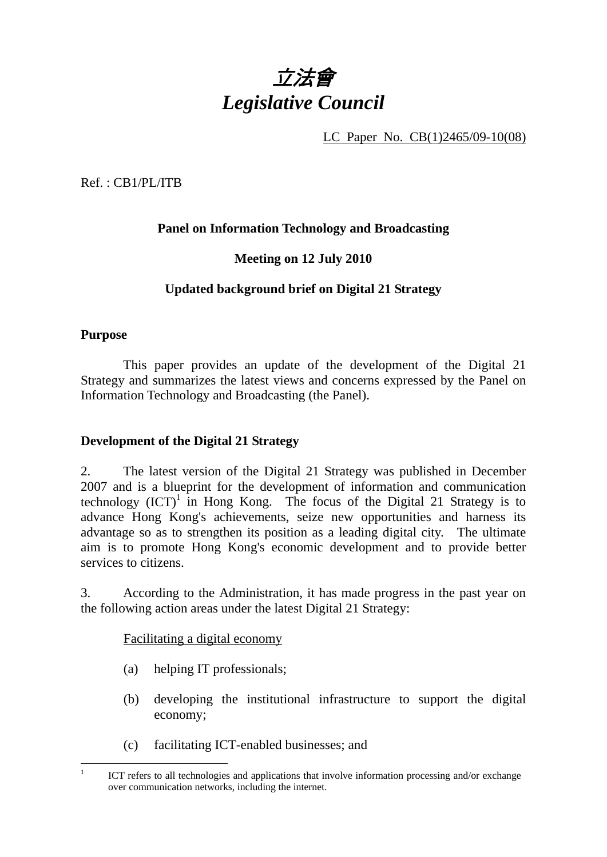

LC Paper No. CB(1)2465/09-10(08)

Ref. : CB1/PL/ITB

# **Panel on Information Technology and Broadcasting**

# **Meeting on 12 July 2010**

# **Updated background brief on Digital 21 Strategy**

## **Purpose**

This paper provides an update of the development of the Digital 21 Strategy and summarizes the latest views and concerns expressed by the Panel on Information Technology and Broadcasting (the Panel).

# **Development of the Digital 21 Strategy**

2. The latest version of the Digital 21 Strategy was published in December 2007 and is a blueprint for the development of information and communication technology  $(ICT)^1$  in Hong Kong. The focus of the Digital 21 Strategy is to advance Hong Kong's achievements, seize new opportunities and harness its advantage so as to strengthen its position as a leading digital city. The ultimate aim is to promote Hong Kong's economic development and to provide better services to citizens.

3. According to the Administration, it has made progress in the past year on the following action areas under the latest Digital 21 Strategy:

Facilitating a digital economy

- (a) helping IT professionals;
- (b) developing the institutional infrastructure to support the digital economy;
- (c) facilitating ICT-enabled businesses; and

 $\overline{a}$ 1 ICT refers to all technologies and applications that involve information processing and/or exchange over communication networks, including the internet.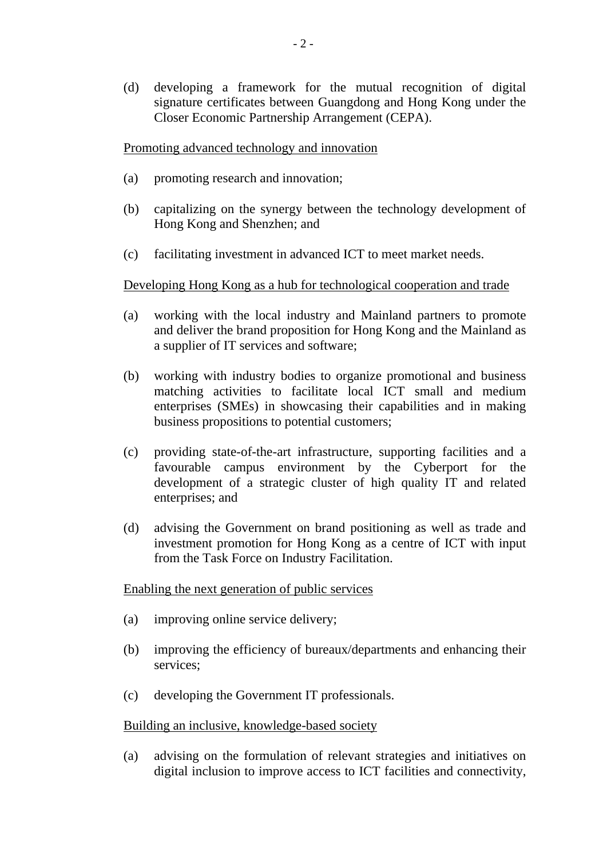(d) developing a framework for the mutual recognition of digital signature certificates between Guangdong and Hong Kong under the Closer Economic Partnership Arrangement (CEPA).

Promoting advanced technology and innovation

- (a) promoting research and innovation;
- (b) capitalizing on the synergy between the technology development of Hong Kong and Shenzhen; and
- (c) facilitating investment in advanced ICT to meet market needs.

## Developing Hong Kong as a hub for technological cooperation and trade

- (a) working with the local industry and Mainland partners to promote and deliver the brand proposition for Hong Kong and the Mainland as a supplier of IT services and software;
- (b) working with industry bodies to organize promotional and business matching activities to facilitate local ICT small and medium enterprises (SMEs) in showcasing their capabilities and in making business propositions to potential customers;
- (c) providing state-of-the-art infrastructure, supporting facilities and a favourable campus environment by the Cyberport for the development of a strategic cluster of high quality IT and related enterprises; and
- (d) advising the Government on brand positioning as well as trade and investment promotion for Hong Kong as a centre of ICT with input from the Task Force on Industry Facilitation.

## Enabling the next generation of public services

- (a) improving online service delivery;
- (b) improving the efficiency of bureaux/departments and enhancing their services;
- (c) developing the Government IT professionals.

## Building an inclusive, knowledge-based society

(a) advising on the formulation of relevant strategies and initiatives on digital inclusion to improve access to ICT facilities and connectivity,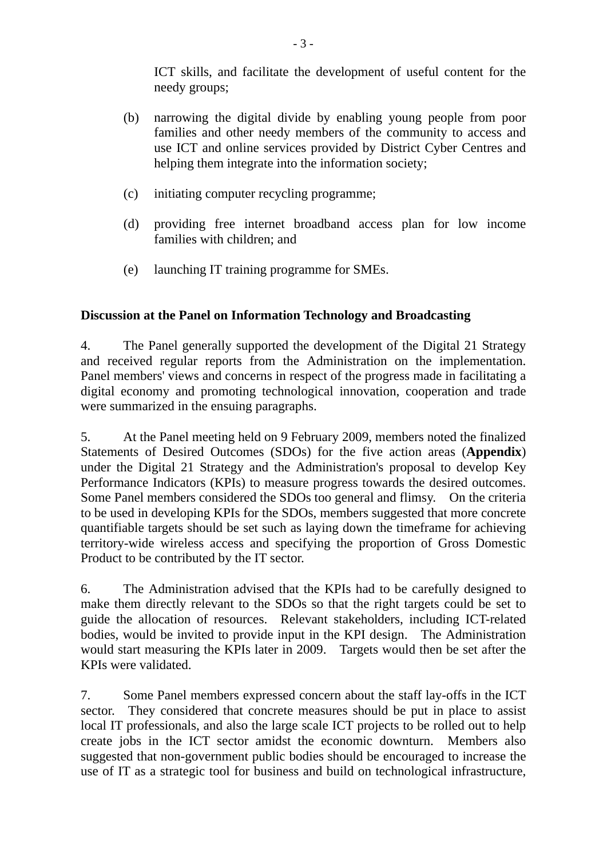ICT skills, and facilitate the development of useful content for the needy groups;

- (b) narrowing the digital divide by enabling young people from poor families and other needy members of the community to access and use ICT and online services provided by District Cyber Centres and helping them integrate into the information society;
- (c) initiating computer recycling programme;
- (d) providing free internet broadband access plan for low income families with children; and
- (e) launching IT training programme for SMEs.

# **Discussion at the Panel on Information Technology and Broadcasting**

4. The Panel generally supported the development of the Digital 21 Strategy and received regular reports from the Administration on the implementation. Panel members' views and concerns in respect of the progress made in facilitating a digital economy and promoting technological innovation, cooperation and trade were summarized in the ensuing paragraphs.

5. At the Panel meeting held on 9 February 2009, members noted the finalized Statements of Desired Outcomes (SDOs) for the five action areas (**Appendix**) under the Digital 21 Strategy and the Administration's proposal to develop Key Performance Indicators (KPIs) to measure progress towards the desired outcomes. Some Panel members considered the SDOs too general and flimsy. On the criteria to be used in developing KPIs for the SDOs, members suggested that more concrete quantifiable targets should be set such as laying down the timeframe for achieving territory-wide wireless access and specifying the proportion of Gross Domestic Product to be contributed by the IT sector.

6. The Administration advised that the KPIs had to be carefully designed to make them directly relevant to the SDOs so that the right targets could be set to guide the allocation of resources. Relevant stakeholders, including ICT-related bodies, would be invited to provide input in the KPI design. The Administration would start measuring the KPIs later in 2009. Targets would then be set after the KPIs were validated.

7. Some Panel members expressed concern about the staff lay-offs in the ICT sector. They considered that concrete measures should be put in place to assist local IT professionals, and also the large scale ICT projects to be rolled out to help create jobs in the ICT sector amidst the economic downturn. Members also suggested that non-government public bodies should be encouraged to increase the use of IT as a strategic tool for business and build on technological infrastructure,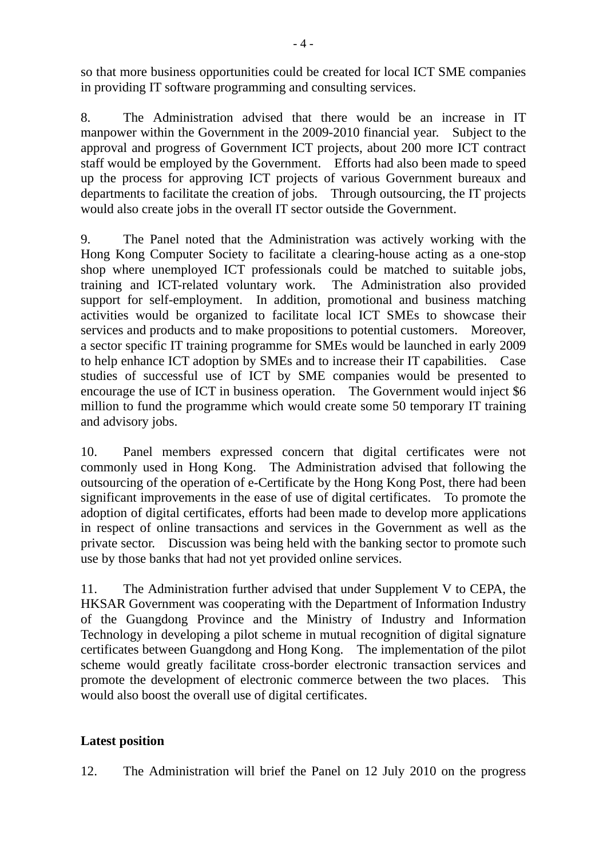so that more business opportunities could be created for local ICT SME companies in providing IT software programming and consulting services.

8. The Administration advised that there would be an increase in IT manpower within the Government in the 2009-2010 financial year. Subject to the approval and progress of Government ICT projects, about 200 more ICT contract staff would be employed by the Government. Efforts had also been made to speed up the process for approving ICT projects of various Government bureaux and departments to facilitate the creation of jobs. Through outsourcing, the IT projects would also create jobs in the overall IT sector outside the Government.

9. The Panel noted that the Administration was actively working with the Hong Kong Computer Society to facilitate a clearing-house acting as a one-stop shop where unemployed ICT professionals could be matched to suitable jobs, training and ICT-related voluntary work. The Administration also provided support for self-employment. In addition, promotional and business matching activities would be organized to facilitate local ICT SMEs to showcase their services and products and to make propositions to potential customers. Moreover, a sector specific IT training programme for SMEs would be launched in early 2009 to help enhance ICT adoption by SMEs and to increase their IT capabilities. Case studies of successful use of ICT by SME companies would be presented to encourage the use of ICT in business operation. The Government would inject \$6 million to fund the programme which would create some 50 temporary IT training and advisory jobs.

10. Panel members expressed concern that digital certificates were not commonly used in Hong Kong. The Administration advised that following the outsourcing of the operation of e-Certificate by the Hong Kong Post, there had been significant improvements in the ease of use of digital certificates. To promote the adoption of digital certificates, efforts had been made to develop more applications in respect of online transactions and services in the Government as well as the private sector. Discussion was being held with the banking sector to promote such use by those banks that had not yet provided online services.

11. The Administration further advised that under Supplement V to CEPA, the HKSAR Government was cooperating with the Department of Information Industry of the Guangdong Province and the Ministry of Industry and Information Technology in developing a pilot scheme in mutual recognition of digital signature certificates between Guangdong and Hong Kong. The implementation of the pilot scheme would greatly facilitate cross-border electronic transaction services and promote the development of electronic commerce between the two places. This would also boost the overall use of digital certificates.

# **Latest position**

12. The Administration will brief the Panel on 12 July 2010 on the progress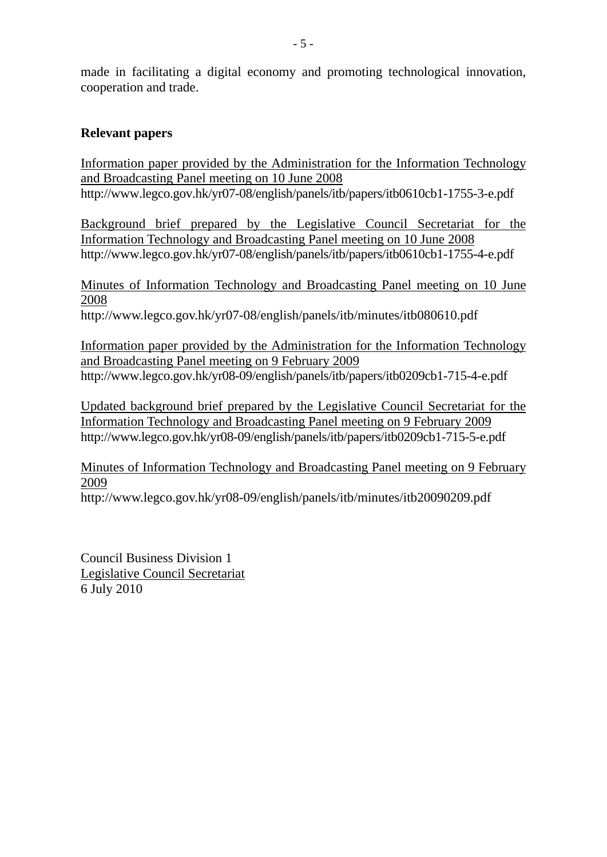made in facilitating a digital economy and promoting technological innovation, cooperation and trade.

## **Relevant papers**

Information paper provided by the Administration for the Information Technology and Broadcasting Panel meeting on 10 June 2008 http://www.legco.gov.hk/yr07-08/english/panels/itb/papers/itb0610cb1-1755-3-e.pdf

Background brief prepared by the Legislative Council Secretariat for the Information Technology and Broadcasting Panel meeting on 10 June 2008 http://www.legco.gov.hk/yr07-08/english/panels/itb/papers/itb0610cb1-1755-4-e.pdf

Minutes of Information Technology and Broadcasting Panel meeting on 10 June 2008

http://www.legco.gov.hk/yr07-08/english/panels/itb/minutes/itb080610.pdf

Information paper provided by the Administration for the Information Technology and Broadcasting Panel meeting on 9 February 2009 http://www.legco.gov.hk/yr08-09/english/panels/itb/papers/itb0209cb1-715-4-e.pdf

Updated background brief prepared by the Legislative Council Secretariat for the Information Technology and Broadcasting Panel meeting on 9 February 2009 http://www.legco.gov.hk/yr08-09/english/panels/itb/papers/itb0209cb1-715-5-e.pdf

Minutes of Information Technology and Broadcasting Panel meeting on 9 February 2009

http://www.legco.gov.hk/yr08-09/english/panels/itb/minutes/itb20090209.pdf

Council Business Division 1 Legislative Council Secretariat 6 July 2010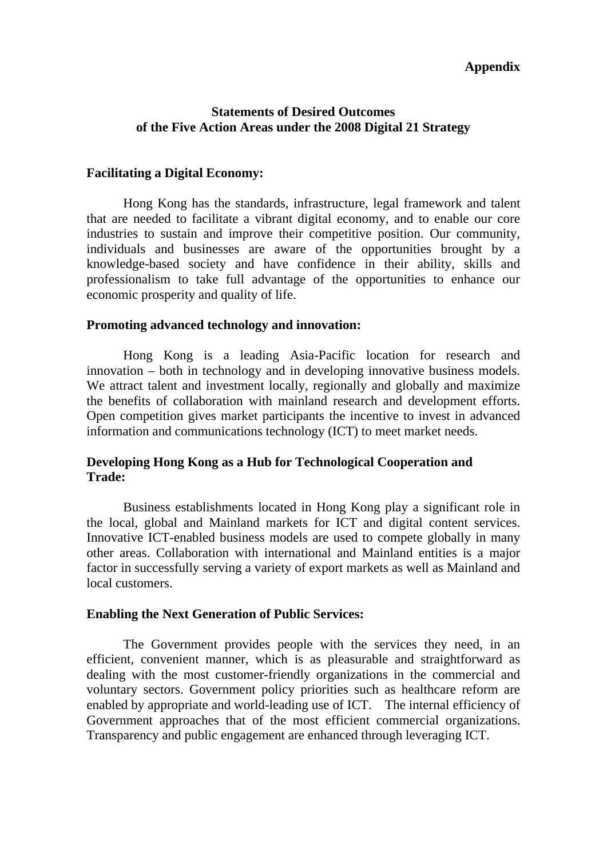### **Appendix**

## **Statements of Desired Outcomes of the Five Action Areas under the 2008 Digital 21 Strategy**

#### **Facilitating a Digital Economy:**

 Hong Kong has the standards, infrastructure, legal framework and talent that are needed to facilitate a vibrant digital economy, and to enable our core industries to sustain and improve their competitive position. Our community, individuals and businesses are aware of the opportunities brought by a knowledge-based society and have confidence in their ability, skills and professionalism to take full advantage of the opportunities to enhance our economic prosperity and quality of life.

#### **Promoting advanced technology and innovation:**

 Hong Kong is a leading Asia-Pacific location for research and innovation – both in technology and in developing innovative business models. We attract talent and investment locally, regionally and globally and maximize the benefits of collaboration with mainland research and development efforts. Open competition gives market participants the incentive to invest in advanced information and communications technology (ICT) to meet market needs.

## **Developing Hong Kong as a Hub for Technological Cooperation and Trade:**

 Business establishments located in Hong Kong play a significant role in the local, global and Mainland markets for ICT and digital content services. Innovative ICT-enabled business models are used to compete globally in many other areas. Collaboration with international and Mainland entities is a major factor in successfully serving a variety of export markets as well as Mainland and local customers.

#### **Enabling the Next Generation of Public Services:**

 The Government provides people with the services they need, in an efficient, convenient manner, which is as pleasurable and straightforward as dealing with the most customer-friendly organizations in the commercial and voluntary sectors. Government policy priorities such as healthcare reform are enabled by appropriate and world-leading use of ICT. The internal efficiency of Government approaches that of the most efficient commercial organizations. Transparency and public engagement are enhanced through leveraging ICT.